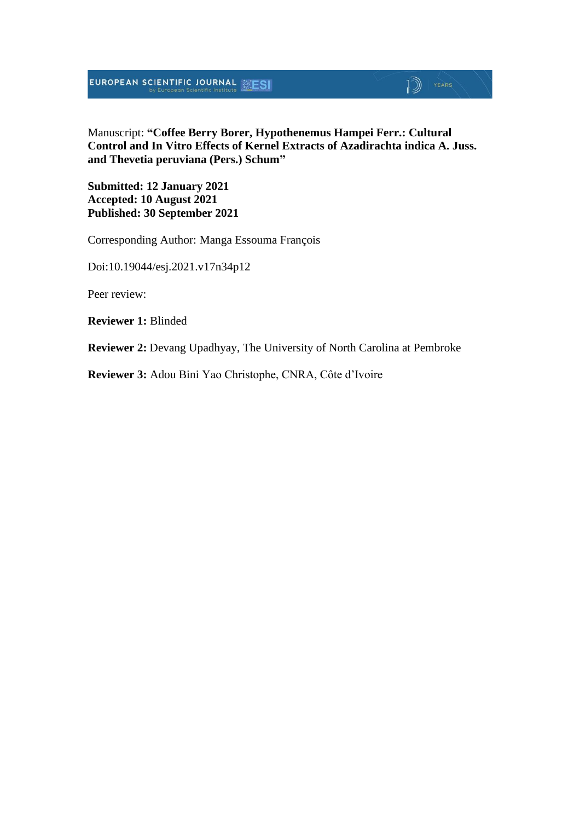**EUROPEAN SCIENTIFIC JOURNAL EXESI** 

#### Manuscript: **"Coffee Berry Borer, Hypothenemus Hampei Ferr.: Cultural Control and In Vitro Effects of Kernel Extracts of Azadirachta indica A. Juss. and Thevetia peruviana (Pers.) Schum"**

 $\mathbb{D}$  | YEARS

**Submitted: 12 January 2021 Accepted: 10 August 2021 Published: 30 September 2021**

Corresponding Author: Manga Essouma François

Doi:10.19044/esj.2021.v17n34p12

Peer review:

**Reviewer 1:** Blinded

**Reviewer 2:** Devang Upadhyay, The University of North Carolina at Pembroke

**Reviewer 3:** Adou Bini Yao Christophe, CNRA, Côte d'Ivoire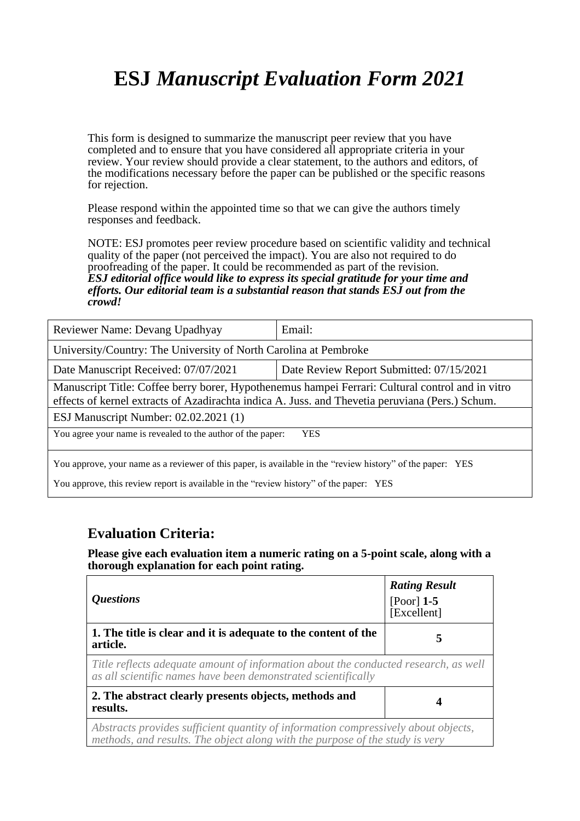# **ESJ** *Manuscript Evaluation Form 2021*

This form is designed to summarize the manuscript peer review that you have completed and to ensure that you have considered all appropriate criteria in your review. Your review should provide a clear statement, to the authors and editors, of the modifications necessary before the paper can be published or the specific reasons for rejection.

Please respond within the appointed time so that we can give the authors timely responses and feedback.

NOTE: ESJ promotes peer review procedure based on scientific validity and technical quality of the paper (not perceived the impact). You are also not required to do proofreading of the paper. It could be recommended as part of the revision. *ESJ editorial office would like to express its special gratitude for your time and efforts. Our editorial team is a substantial reason that stands ESJ out from the crowd!* 

| Reviewer Name: Devang Upadhyay                                                                                                                                                                       | Email: |  |
|------------------------------------------------------------------------------------------------------------------------------------------------------------------------------------------------------|--------|--|
| University/Country: The University of North Carolina at Pembroke                                                                                                                                     |        |  |
| Date Manuscript Received: 07/07/2021<br>Date Review Report Submitted: 07/15/2021                                                                                                                     |        |  |
| Manuscript Title: Coffee berry borer, Hypothenemus hampei Ferrari: Cultural control and in vitro<br>effects of kernel extracts of Azadirachta indica A. Juss. and Thevetia peruviana (Pers.) Schum.  |        |  |
| ESJ Manuscript Number: 02.02.2021 (1)                                                                                                                                                                |        |  |
| You agree your name is revealed to the author of the paper:<br><b>YES</b>                                                                                                                            |        |  |
| You approve, your name as a reviewer of this paper, is available in the "review history" of the paper: YES<br>You approve, this review report is available in the "review history" of the paper: YES |        |  |

#### **Evaluation Criteria:**

**Please give each evaluation item a numeric rating on a 5-point scale, along with a thorough explanation for each point rating.**

| <i><b>Questions</b></i>                                                                                                                                            | <b>Rating Result</b><br>$[Poor]$ 1-5<br>[Excellent] |
|--------------------------------------------------------------------------------------------------------------------------------------------------------------------|-----------------------------------------------------|
| 1. The title is clear and it is adequate to the content of the<br>article.                                                                                         | 5                                                   |
| Title reflects adequate amount of information about the conducted research, as well<br>as all scientific names have been demonstrated scientifically               |                                                     |
| 2. The abstract clearly presents objects, methods and<br>results.                                                                                                  |                                                     |
| Abstracts provides sufficient quantity of information compressively about objects,<br>methods, and results. The object along with the purpose of the study is very |                                                     |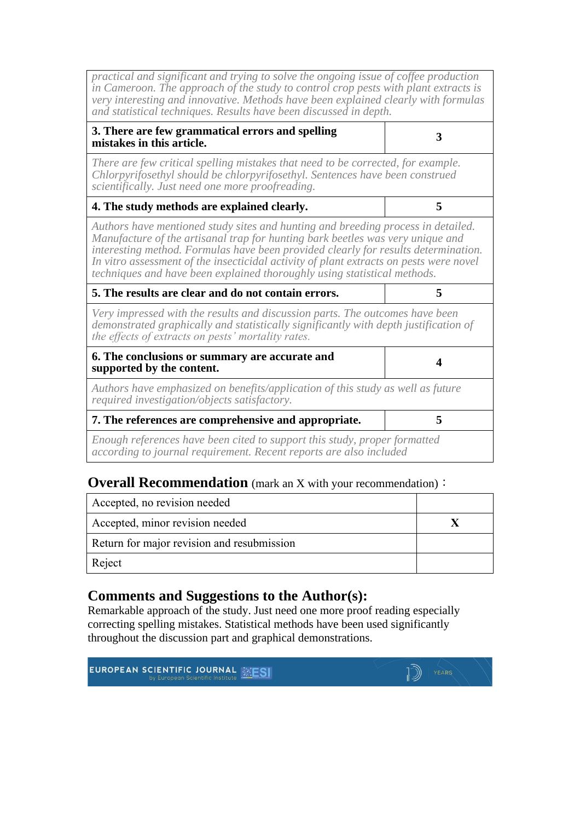*practical and significant and trying to solve the ongoing issue of coffee production in Cameroon. The approach of the study to control crop pests with plant extracts is very interesting and innovative. Methods have been explained clearly with formulas and statistical techniques. Results have been discussed in depth.*

| 3. There are few grammatical errors and spelling |  |
|--------------------------------------------------|--|
| mistakes in this article.                        |  |

*There are few critical spelling mistakes that need to be corrected, for example. Chlorpyrifosethyl should be chlorpyrifosethyl. Sentences have been construed scientifically. Just need one more proofreading.* 

| 4. The study methods are explained clearly. |  |
|---------------------------------------------|--|
|---------------------------------------------|--|

*Authors have mentioned study sites and hunting and breeding process in detailed. Manufacture of the artisanal trap for hunting bark beetles was very unique and interesting method. Formulas have been provided clearly for results determination. In vitro assessment of the insecticidal activity of plant extracts on pests were novel techniques and have been explained thoroughly using statistical methods.* 

| 5. The results are clear and do not contain errors. |  |
|-----------------------------------------------------|--|
|                                                     |  |

*Very impressed with the results and discussion parts. The outcomes have been demonstrated graphically and statistically significantly with depth justification of the effects of extracts on pests' mortality rates.*

| 6. The conclusions or summary are accurate and<br>supported by the content.                                                     |  |
|---------------------------------------------------------------------------------------------------------------------------------|--|
| Authors have emphasized on benefits/application of this study as well as future<br>required investigation/objects satisfactory. |  |
| 7. The references are comprehensive and appropriate.                                                                            |  |

*Enough references have been cited to support this study, proper formatted according to journal requirement. Recent reports are also included* 

#### **Overall Recommendation** (mark an X with your recommendation):

| Accepted, no revision needed               |  |
|--------------------------------------------|--|
| Accepted, minor revision needed            |  |
| Return for major revision and resubmission |  |
| Reject                                     |  |

#### **Comments and Suggestions to the Author(s):**

Remarkable approach of the study. Just need one more proof reading especially correcting spelling mistakes. Statistical methods have been used significantly throughout the discussion part and graphical demonstrations.

| <b>EUROPEAN SCIENTIFIC JOURNAL ELESE</b> | 1D<br><b>YEARS</b> |
|------------------------------------------|--------------------|
|                                          |                    |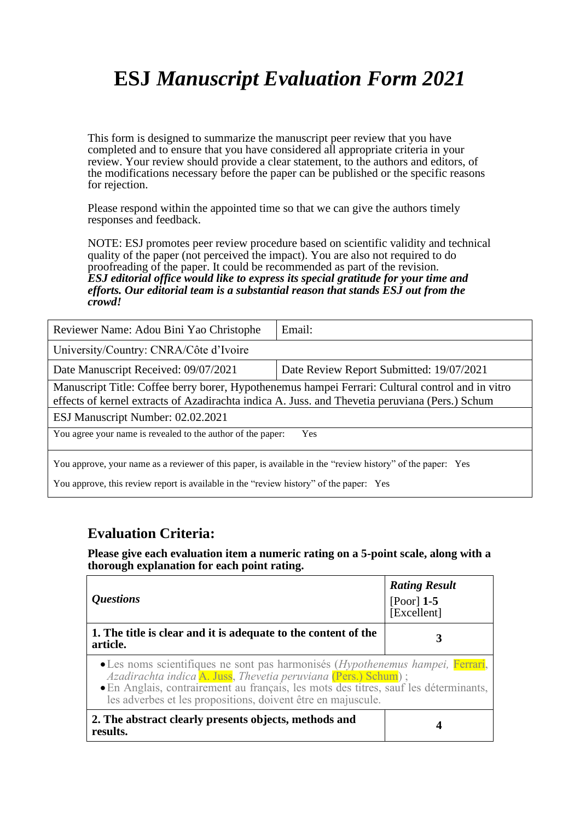# **ESJ** *Manuscript Evaluation Form 2021*

This form is designed to summarize the manuscript peer review that you have completed and to ensure that you have considered all appropriate criteria in your review. Your review should provide a clear statement, to the authors and editors, of the modifications necessary before the paper can be published or the specific reasons for rejection.

Please respond within the appointed time so that we can give the authors timely responses and feedback.

NOTE: ESJ promotes peer review procedure based on scientific validity and technical quality of the paper (not perceived the impact). You are also not required to do proofreading of the paper. It could be recommended as part of the revision. *ESJ editorial office would like to express its special gratitude for your time and efforts. Our editorial team is a substantial reason that stands ESJ out from the crowd!* 

| Reviewer Name: Adou Bini Yao Christophe                                                                                                                                                            | Email:                                   |  |
|----------------------------------------------------------------------------------------------------------------------------------------------------------------------------------------------------|------------------------------------------|--|
| University/Country: CNRA/Côte d'Ivoire                                                                                                                                                             |                                          |  |
| Date Manuscript Received: 09/07/2021                                                                                                                                                               | Date Review Report Submitted: 19/07/2021 |  |
| Manuscript Title: Coffee berry borer, Hypothenemus hampei Ferrari: Cultural control and in vitro<br>effects of kernel extracts of Azadirachta indica A. Juss. and Thevetia peruviana (Pers.) Schum |                                          |  |
| ESJ Manuscript Number: 02.02.2021                                                                                                                                                                  |                                          |  |
| You agree your name is revealed to the author of the paper:<br><b>Yes</b>                                                                                                                          |                                          |  |
| You approve, your name as a reviewer of this paper, is available in the "review history" of the paper: Yes                                                                                         |                                          |  |

You approve, this review report is available in the "review history" of the paper: Yes

#### **Evaluation Criteria:**

**Please give each evaluation item a numeric rating on a 5-point scale, along with a thorough explanation for each point rating.**

| <i><b>Questions</b></i>                                                                                                                                                                                                                                                                                  | <b>Rating Result</b><br>[Poor] $1-5$<br>[Excellent] |
|----------------------------------------------------------------------------------------------------------------------------------------------------------------------------------------------------------------------------------------------------------------------------------------------------------|-----------------------------------------------------|
| 1. The title is clear and it is adequate to the content of the<br>article.                                                                                                                                                                                                                               |                                                     |
| • Les noms scientifiques ne sont pas harmonisés (Hypothenemus hampei, Ferrari,<br>Azadirachta indica A. Juss, Thevetia peruviana (Pers.) Schum);<br>· En Anglais, contrairement au français, les mots des titres, sauf les déterminants,<br>les adverbes et les propositions, doivent être en majuscule. |                                                     |
| 2. The abstract clearly presents objects, methods and<br>results.                                                                                                                                                                                                                                        |                                                     |